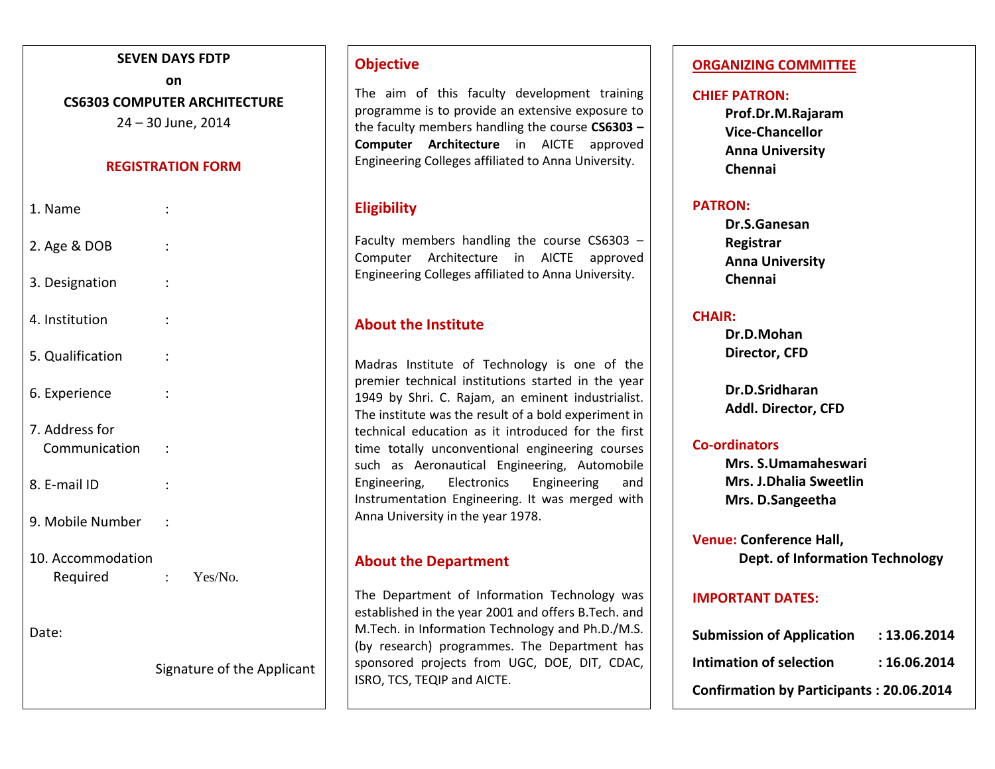### **SEVEN DAYS FDTP**

# **on CS6303 COMPUTER ARCHITECTURE**

24 – 30 June, 2014

### **REGISTRATION FORM**

| 1. Name                         |                |                            |
|---------------------------------|----------------|----------------------------|
| 2. Age & DOB                    | $\ddot{\cdot}$ |                            |
| 3. Designation                  | $\ddot{\cdot}$ |                            |
| 4. Institution                  | $\ddot{\cdot}$ |                            |
| 5. Qualification                | $\ddot{\cdot}$ |                            |
| 6. Experience                   |                |                            |
| 7. Address for<br>Communication | $\ddot{\cdot}$ |                            |
| 8. E-mail ID                    | $\ddot{\cdot}$ |                            |
| 9. Mobile Number                | $\cdot$ :      |                            |
| 10. Accommodation<br>Required   |                | : $Yes/No.$                |
| Date:                           |                |                            |
|                                 |                | Signature of the Applicant |
|                                 |                |                            |

# **Objective**

The aim of this faculty development training programme is to provide an extensive exposure to the faculty members handling the course **CS6303 – Computer Architecture** in AICTE approved Engineering Colleges affiliated to Anna University.

# **Eligibility**

Faculty members handling the course CS6303 – Computer Architecture in AICTE approved Engineering Colleges affiliated to Anna University.

# **About the Institute**

Madras Institute of Technology is one of the premier technical institutions started in the year 1949 by Shri. C. Rajam, an eminent industrialist. The institute was the result of a bold experiment in technical education as it introduced for the first time totally unconventional engineering courses such as Aeronautical Engineering, Automobile Engineering, Electronics Engineering and Instrumentation Engineering. It was merged with Anna University in the year 1978.

# **About the Department**

The Department of Information Technology was established in the year 2001 and offers B.Tech. and M.Tech. in Information Technology and Ph.D./M.S. (by research) programmes. The Department has sponsored projects from UGC, DOE, DIT, CDAC, ISRO, TCS, TEQIP and AICTE.

### **ORGANIZING COMMITTEE**

### **CHIEF PATRON:**

**Prof.Dr.M.Rajaram Vice-Chancellor Anna University Chennai**

### **PATRON:**

**Dr.S.Ganesan Registrar Anna University Chennai**

### **CHAIR:**

**Dr.D.Mohan Director, CFD**

**Dr.D.Sridharan Addl. Director, CFD**

### **Co-ordinators**

**Mrs. S.Umamaheswari Mrs. J.Dhalia Sweetlin Mrs. D.Sangeetha**

**Venue: Conference Hall, Dept. of Information Technology**

### **IMPORTANT DATES:**

| <b>Submission of Application</b>                | : 13.06.2014 |  |
|-------------------------------------------------|--------------|--|
| Intimation of selection                         | : 16.06.2014 |  |
| <b>Confirmation by Participants: 20.06.2014</b> |              |  |